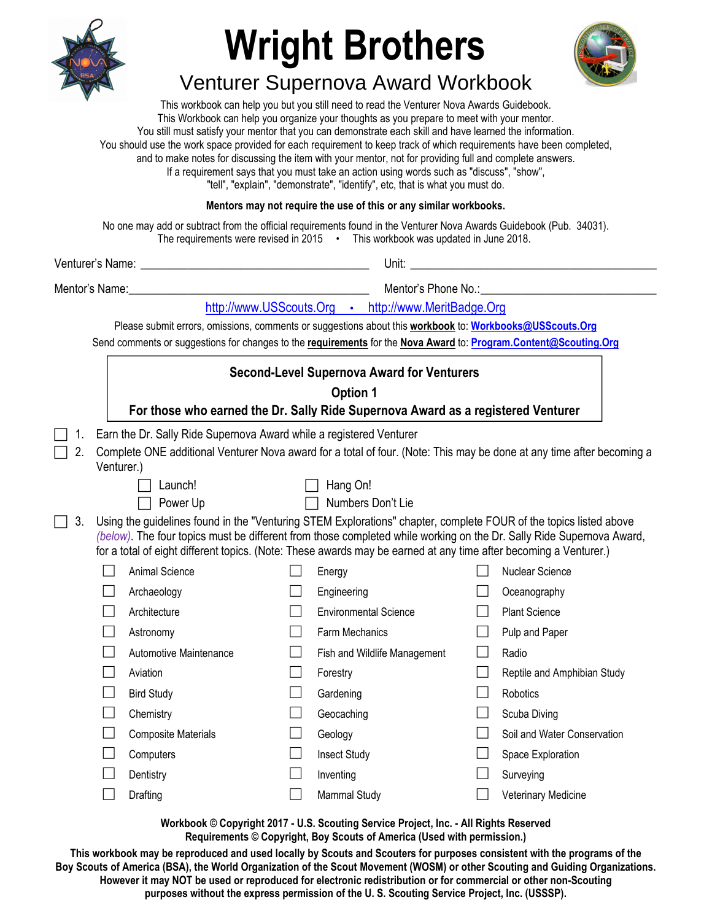

## **Wright Brothers**



## Venturer Supernova Award Workbook

This workbook can help you but you still need to read the Venturer Nova Awards Guidebook. This Workbook can help you organize your thoughts as you prepare to meet with your mentor. You still must satisfy your mentor that you can demonstrate each skill and have learned the information. You should use the work space provided for each requirement to keep track of which requirements have been completed, and to make notes for discussing the item with your mentor, not for providing full and complete answers. If a requirement says that you must take an action using words such as "discuss", "show", "tell", "explain", "demonstrate", "identify", etc, that is what you must do. **Mentors may not require the use of this or any similar workbooks.**

No one may add or subtract from the official requirements found in the Venturer Nova Awards Guidebook (Pub. 34031). The requirements were revised in 2015 • This workbook was updated in June 2018.

|                                                                                                                  |                                                                                                                                                                                                                                                                                                                                                               | Mentor's Name: The contract of the contract of the contract of the contract of the contract of the contract of the contract of the contract of the contract of the contract of the contract of the contract of the contract of |                        |                              |                                                     |                                                        |  |  |  |  |  |  |  |  |
|------------------------------------------------------------------------------------------------------------------|---------------------------------------------------------------------------------------------------------------------------------------------------------------------------------------------------------------------------------------------------------------------------------------------------------------------------------------------------------------|--------------------------------------------------------------------------------------------------------------------------------------------------------------------------------------------------------------------------------|------------------------|------------------------------|-----------------------------------------------------|--------------------------------------------------------|--|--|--|--|--|--|--|--|
|                                                                                                                  |                                                                                                                                                                                                                                                                                                                                                               |                                                                                                                                                                                                                                |                        |                              | http://www.USScouts.Org · http://www.MeritBadge.Org |                                                        |  |  |  |  |  |  |  |  |
|                                                                                                                  |                                                                                                                                                                                                                                                                                                                                                               | Please submit errors, omissions, comments or suggestions about this workbook to: Workbooks@USScouts.Org                                                                                                                        |                        |                              |                                                     |                                                        |  |  |  |  |  |  |  |  |
| Send comments or suggestions for changes to the requirements for the Nova Award to: Program.Content@Scouting.Org |                                                                                                                                                                                                                                                                                                                                                               |                                                                                                                                                                                                                                |                        |                              |                                                     |                                                        |  |  |  |  |  |  |  |  |
|                                                                                                                  |                                                                                                                                                                                                                                                                                                                                                               | <b>Second-Level Supernova Award for Venturers</b>                                                                                                                                                                              |                        |                              |                                                     |                                                        |  |  |  |  |  |  |  |  |
|                                                                                                                  |                                                                                                                                                                                                                                                                                                                                                               | Option 1                                                                                                                                                                                                                       |                        |                              |                                                     |                                                        |  |  |  |  |  |  |  |  |
|                                                                                                                  |                                                                                                                                                                                                                                                                                                                                                               | For those who earned the Dr. Sally Ride Supernova Award as a registered Venturer                                                                                                                                               |                        |                              |                                                     |                                                        |  |  |  |  |  |  |  |  |
| 1.                                                                                                               |                                                                                                                                                                                                                                                                                                                                                               | Earn the Dr. Sally Ride Supernova Award while a registered Venturer                                                                                                                                                            |                        |                              |                                                     |                                                        |  |  |  |  |  |  |  |  |
| 2.                                                                                                               |                                                                                                                                                                                                                                                                                                                                                               | Complete ONE additional Venturer Nova award for a total of four. (Note: This may be done at any time after becoming a<br>Venturer.)                                                                                            |                        |                              |                                                     |                                                        |  |  |  |  |  |  |  |  |
| Hang On!<br>Launch!                                                                                              |                                                                                                                                                                                                                                                                                                                                                               |                                                                                                                                                                                                                                |                        |                              |                                                     |                                                        |  |  |  |  |  |  |  |  |
| Numbers Don't Lie<br>Power Up                                                                                    |                                                                                                                                                                                                                                                                                                                                                               |                                                                                                                                                                                                                                |                        |                              |                                                     |                                                        |  |  |  |  |  |  |  |  |
| 3.                                                                                                               | Using the guidelines found in the "Venturing STEM Explorations" chapter, complete FOUR of the topics listed above<br>(below). The four topics must be different from those completed while working on the Dr. Sally Ride Supernova Award,<br>for a total of eight different topics. (Note: These awards may be earned at any time after becoming a Venturer.) |                                                                                                                                                                                                                                |                        |                              |                                                     |                                                        |  |  |  |  |  |  |  |  |
|                                                                                                                  |                                                                                                                                                                                                                                                                                                                                                               | Animal Science                                                                                                                                                                                                                 |                        | Energy                       |                                                     | <b>Nuclear Science</b>                                 |  |  |  |  |  |  |  |  |
|                                                                                                                  |                                                                                                                                                                                                                                                                                                                                                               | Archaeology                                                                                                                                                                                                                    |                        | Engineering                  |                                                     | Oceanography                                           |  |  |  |  |  |  |  |  |
|                                                                                                                  |                                                                                                                                                                                                                                                                                                                                                               | Architecture                                                                                                                                                                                                                   |                        | <b>Environmental Science</b> |                                                     | <b>Plant Science</b>                                   |  |  |  |  |  |  |  |  |
|                                                                                                                  | Astronomy<br>Automotive Maintenance<br>Aviation                                                                                                                                                                                                                                                                                                               |                                                                                                                                                                                                                                |                        | Farm Mechanics               |                                                     | Pulp and Paper<br>Radio<br>Reptile and Amphibian Study |  |  |  |  |  |  |  |  |
|                                                                                                                  |                                                                                                                                                                                                                                                                                                                                                               |                                                                                                                                                                                                                                |                        | Fish and Wildlife Management |                                                     |                                                        |  |  |  |  |  |  |  |  |
|                                                                                                                  |                                                                                                                                                                                                                                                                                                                                                               |                                                                                                                                                                                                                                |                        | Forestry                     |                                                     |                                                        |  |  |  |  |  |  |  |  |
|                                                                                                                  |                                                                                                                                                                                                                                                                                                                                                               | <b>Bird Study</b>                                                                                                                                                                                                              |                        | Gardening                    |                                                     | Robotics                                               |  |  |  |  |  |  |  |  |
|                                                                                                                  |                                                                                                                                                                                                                                                                                                                                                               | Chemistry<br><b>Composite Materials</b>                                                                                                                                                                                        |                        | Geocaching                   |                                                     | Scuba Diving                                           |  |  |  |  |  |  |  |  |
|                                                                                                                  |                                                                                                                                                                                                                                                                                                                                                               |                                                                                                                                                                                                                                |                        | Geology                      |                                                     | Soil and Water Conservation                            |  |  |  |  |  |  |  |  |
|                                                                                                                  |                                                                                                                                                                                                                                                                                                                                                               | Computers                                                                                                                                                                                                                      |                        | <b>Insect Study</b>          |                                                     | Space Exploration                                      |  |  |  |  |  |  |  |  |
|                                                                                                                  |                                                                                                                                                                                                                                                                                                                                                               | Dentistry                                                                                                                                                                                                                      | Inventing<br>Surveying |                              |                                                     |                                                        |  |  |  |  |  |  |  |  |
| Drafting<br>Mammal Study<br>Veterinary Medicine                                                                  |                                                                                                                                                                                                                                                                                                                                                               |                                                                                                                                                                                                                                |                        |                              |                                                     |                                                        |  |  |  |  |  |  |  |  |

**Workbook © Copyright 2017 - U.S. Scouting Service Project, Inc. - All Rights Reserved Requirements © Copyright, Boy Scouts of America (Used with permission.)** 

**This workbook may be reproduced and used locally by Scouts and Scouters for purposes consistent with the programs of the Boy Scouts of America (BSA), the World Organization of the Scout Movement (WOSM) or other Scouting and Guiding Organizations. However it may NOT be used or reproduced for electronic redistribution or for commercial or other non-Scouting purposes without the express permission of the U. S. Scouting Service Project, Inc. (USSSP).**